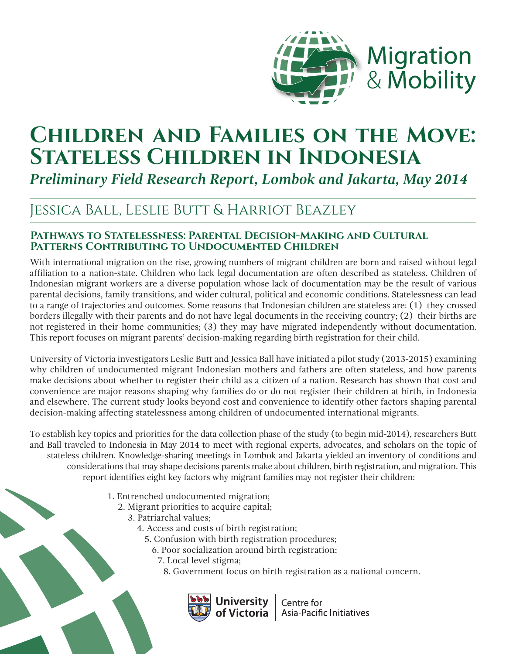

# **CHILDREN AND FAMILIES ON THE MOVE: Stateless Children in Indonesia**

*Preliminary Field Research Report, Lombok and Jakarta, May 2014*

# Jessica Ball, Leslie Butt & Harriot Beazley

## **Pathways to Statelessness: Parental Decision-Making and Cultural Patterns Contributing to Undocumented Children**

With international migration on the rise, growing numbers of migrant children are born and raised without legal affiliation to a nation-state. Children who lack legal documentation are often described as stateless. Children of Indonesian migrant workers are a diverse population whose lack of documentation may be the result of various parental decisions, family transitions, and wider cultural, political and economic conditions. Statelessness can lead to a range of trajectories and outcomes. Some reasons that Indonesian children are stateless are: (1) they crossed borders illegally with their parents and do not have legal documents in the receiving country; (2) their births are not registered in their home communities; (3) they may have migrated independently without documentation. This report focuses on migrant parents' decision-making regarding birth registration for their child.

University of Victoria investigators Leslie Butt and Jessica Ball have initiated a pilot study (2013-2015) examining why children of undocumented migrant Indonesian mothers and fathers are often stateless, and how parents make decisions about whether to register their child as a citizen of a nation. Research has shown that cost and convenience are major reasons shaping why families do or do not register their children at birth, in Indonesia and elsewhere. The current study looks beyond cost and convenience to identify other factors shaping parental decision-making affecting statelessness among children of undocumented international migrants.

To establish key topics and priorities for the data collection phase of the study (to begin mid-2014), researchers Butt and Ball traveled to Indonesia in May 2014 to meet with regional experts, advocates, and scholars on the topic of stateless children. Knowledge-sharing meetings in Lombok and Jakarta yielded an inventory of conditions and considerations that may shape decisions parents make about children, birth registration, and migration. This report identifies eight key factors why migrant families may not register their children:

- 1. Entrenched undocumented migration;
	- 2. Migrant priorities to acquire capital;
		- 3. Patriarchal values;
			- 4. Access and costs of birth registration;
				- 5. Confusion with birth registration procedures;
				- 6. Poor socialization around birth registration;
					- 7. Local level stigma;
						- 8. Government focus on birth registration as a national concern.



Centre for  $|$  Asia-Pacific Initiatives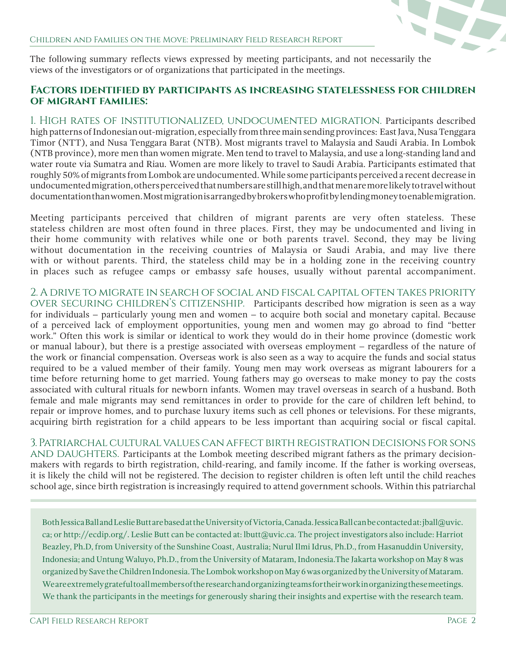

The following summary reflects views expressed by meeting participants, and not necessarily the views of the investigators or of organizations that participated in the meetings.

#### **Factors identified by participants as increasing statelessness for children of migrant families:**

1. High rates of institutionalized, undocumented migration. Participants described high patterns of Indonesian out-migration, especially from three main sending provinces: East Java, Nusa Tenggara Timor (NTT), and Nusa Tenggara Barat (NTB). Most migrants travel to Malaysia and Saudi Arabia. In Lombok (NTB province), more men than women migrate. Men tend to travel to Malaysia, and use a long-standing land and water route via Sumatra and Riau. Women are more likely to travel to Saudi Arabia. Participants estimated that roughly 50% of migrants from Lombok are undocumented. While some participants perceived a recent decrease in undocumented migration, others perceived that numbers are still high, and that men are more likely to travel without documentation than women. Most migration is arranged by brokers who profit by lending money to enable migration.

Meeting participants perceived that children of migrant parents are very often stateless. These stateless children are most often found in three places. First, they may be undocumented and living in their home community with relatives while one or both parents travel. Second, they may be living without documentation in the receiving countries of Malaysia or Saudi Arabia, and may live there with or without parents. Third, the stateless child may be in a holding zone in the receiving country in places such as refugee camps or embassy safe houses, usually without parental accompaniment.

2. A drive to migrate in search of social and fiscal capital often takes priority OVER SECURING CHILDREN'S CITIZENSHIP. Participants described how migration is seen as a way for individuals – particularly young men and women – to acquire both social and monetary capital. Because of a perceived lack of employment opportunities, young men and women may go abroad to find "better work." Often this work is similar or identical to work they would do in their home province (domestic work or manual labour), but there is a prestige associated with overseas employment – regardless of the nature of the work or financial compensation. Overseas work is also seen as a way to acquire the funds and social status required to be a valued member of their family. Young men may work overseas as migrant labourers for a time before returning home to get married. Young fathers may go overseas to make money to pay the costs associated with cultural rituals for newborn infants. Women may travel overseas in search of a husband. Both female and male migrants may send remittances in order to provide for the care of children left behind, to repair or improve homes, and to purchase luxury items such as cell phones or televisions. For these migrants, acquiring birth registration for a child appears to be less important than acquiring social or fiscal capital.

3. Patriarchal cultural values can affect birth registration decisions for sons AND DAUGHTERS. Participants at the Lombok meeting described migrant fathers as the primary decisionmakers with regards to birth registration, child-rearing, and family income. If the father is working overseas, it is likely the child will not be registered. The decision to register children is often left until the child reaches school age, since birth registration is increasingly required to attend government schools. Within this patriarchal

Both Jessica Ball and Leslie Butt are based at the University of Victoria, Canada. Jessica Ball can be contacted at: jball@uvic. ca; or http://ecdip.org/. Leslie Butt can be contacted at: lbutt@uvic.ca. The project investigators also include: Harriot Beazley, Ph.D, from University of the Sunshine Coast, Australia; Nurul Ilmi Idrus, Ph.D., from Hasanuddin University, Indonesia; and Untung Waluyo, Ph.D., from the University of Mataram, Indonesia.The Jakarta workshop on May 8 was organized by Save the Children Indonesia. The Lombok workshop on May 6 was organized by the University of Mataram. We are extremely grateful to all members of the research and organizing teams for their work in organizing these meetings. We thank the participants in the meetings for generously sharing their insights and expertise with the research team.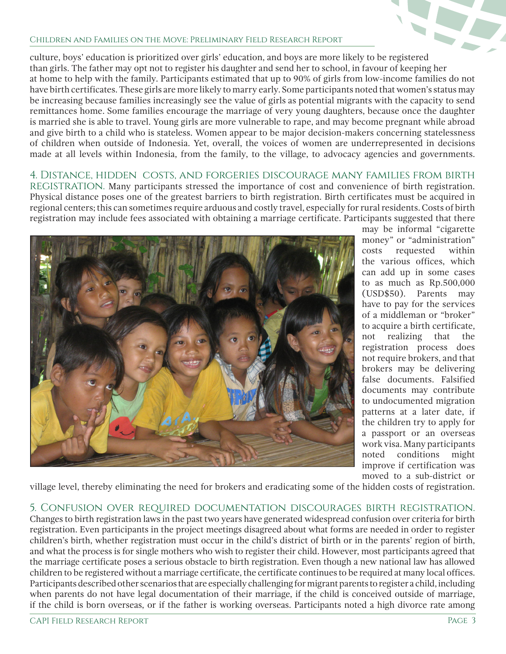#### Children and Families on the Move: Preliminary Field Research Report

culture, boys' education is prioritized over girls' education, and boys are more likely to be registered than girls. The father may opt not to register his daughter and send her to school, in favour of keeping her at home to help with the family. Participants estimated that up to 90% of girls from low-income families do not have birth certificates. These girls are more likely to marry early. Some participants noted that women's status may be increasing because families increasingly see the value of girls as potential migrants with the capacity to send remittances home. Some families encourage the marriage of very young daughters, because once the daughter is married she is able to travel. Young girls are more vulnerable to rape, and may become pregnant while abroad and give birth to a child who is stateless. Women appear to be major decision-makers concerning statelessness of children when outside of Indonesia. Yet, overall, the voices of women are underrepresented in decisions made at all levels within Indonesia, from the family, to the village, to advocacy agencies and governments.

4. Distance, hidden costs, and forgeries discourage many families from birth REGISTRATION. Many participants stressed the importance of cost and convenience of birth registration. Physical distance poses one of the greatest barriers to birth registration. Birth certificates must be acquired in regional centers; this can sometimes require arduous and costly travel, especially for rural residents. Costs of birth registration may include fees associated with obtaining a marriage certificate. Participants suggested that there



may be informal "cigarette money" or "administration" costs requested within the various offices, which can add up in some cases to as much as Rp.500,000 (USD\$50). Parents may have to pay for the services of a middleman or "broker" to acquire a birth certificate, not realizing that the registration process does not require brokers, and that brokers may be delivering false documents. Falsified documents may contribute to undocumented migration patterns at a later date, if the children try to apply for a passport or an overseas work visa. Many participants noted conditions might improve if certification was moved to a sub-district or

village level, thereby eliminating the need for brokers and eradicating some of the hidden costs of registration.

5. Confusion over required documentation discourages birth registration. Changes to birth registration laws in the past two years have generated widespread confusion over criteria for birth registration. Even participants in the project meetings disagreed about what forms are needed in order to register children's birth, whether registration must occur in the child's district of birth or in the parents' region of birth, and what the process is for single mothers who wish to register their child. However, most participants agreed that the marriage certificate poses a serious obstacle to birth registration. Even though a new national law has allowed children to be registered without a marriage certificate, the certificate continues to be required at many local offices. Participants described other scenarios that are especially challenging for migrant parents to register a child, including when parents do not have legal documentation of their marriage, if the child is conceived outside of marriage, if the child is born overseas, or if the father is working overseas. Participants noted a high divorce rate among